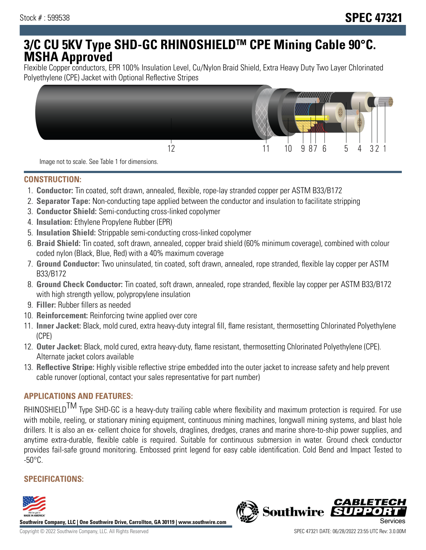# **3/C CU 5KV Type SHD-GC RHINOSHIELDTM CPE Mining Cable 90°C. MSHA Approved**

Flexible Copper conductors, EPR 100% Insulation Level, Cu/Nylon Braid Shield, Extra Heavy Duty Two Layer Chlorinated Polyethylene (CPE) Jacket with Optional Reflective Stripes



Image not to scale. See Table 1 for dimensions.

#### **CONSTRUCTION:**

- 1. **Conductor:** Tin coated, soft drawn, annealed, flexible, rope-lay stranded copper per ASTM B33/B172
- 2. **Separator Tape:** Non-conducting tape applied between the conductor and insulation to facilitate stripping
- 3. **Conductor Shield:** Semi-conducting cross-linked copolymer
- 4. **Insulation:** Ethylene Propylene Rubber (EPR)
- 5. **Insulation Shield:** Strippable semi-conducting cross-linked copolymer
- 6. **Braid Shield:** Tin coated, soft drawn, annealed, copper braid shield (60% minimum coverage), combined with colour coded nylon (Black, Blue, Red) with a 40% maximum coverage
- 7. **Ground Conductor:** Two uninsulated, tin coated, soft drawn, annealed, rope stranded, flexible lay copper per ASTM B33/B172
- 8. **Ground Check Conductor:** Tin coated, soft drawn, annealed, rope stranded, flexible lay copper per ASTM B33/B172 with high strength yellow, polypropylene insulation
- 9. **Filler:** Rubber fillers as needed
- 10. **Reinforcement:** Reinforcing twine applied over core
- 11. **Inner Jacket:** Black, mold cured, extra heavy-duty integral fill, flame resistant, thermosetting Chlorinated Polyethylene (CPE)
- 12. **Outer Jacket:** Black, mold cured, extra heavy-duty, flame resistant, thermosetting Chlorinated Polyethylene (CPE). Alternate jacket colors available
- 13. **Reflective Stripe:** Highly visible reflective stripe embedded into the outer jacket to increase safety and help prevent cable runover (optional, contact your sales representative for part number)

## **APPLICATIONS AND FEATURES:**

RHINOSHIELD<sup>TM</sup> Type SHD-GC is a heavy-duty trailing cable where flexibility and maximum protection is required. For use with mobile, reeling, or stationary mining equipment, continuous mining machines, longwall mining systems, and blast hole drillers. It is also an ex- cellent choice for shovels, draglines, dredges, cranes and marine shore-to-ship power supplies, and anytime extra-durable, flexible cable is required. Suitable for continuous submersion in water. Ground check conductor provides fail-safe ground monitoring. Embossed print legend for easy cable identification. Cold Bend and Impact Tested to  $-50^{\circ}$ C.

### **SPECIFICATIONS:**



**Southwire Company, LLC | One Southwire Drive, Carrollton, GA 30119 | www.southwire.com**

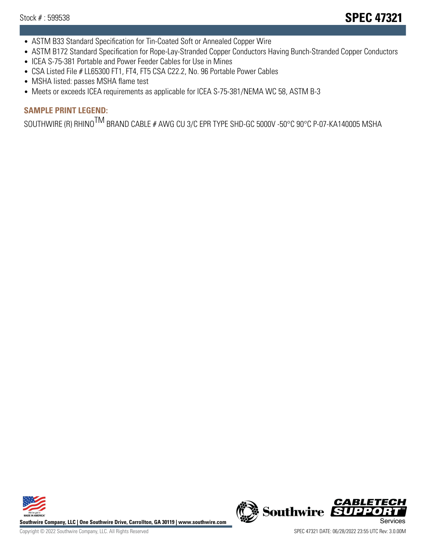- ASTM B33 Standard Specification for Tin-Coated Soft or Annealed Copper Wire
- ASTM B172 Standard Specification for Rope-Lay-Stranded Copper Conductors Having Bunch-Stranded Copper Conductors
- ICEA S-75-381 Portable and Power Feeder Cables for Use in Mines
- CSA Listed File # LL65300 FT1, FT4, FT5 CSA C22.2, No. 96 Portable Power Cables
- MSHA listed: passes MSHA flame test
- Meets or exceeds ICEA requirements as applicable for ICEA S-75-381/NEMA WC 58, ASTM B-3

# **SAMPLE PRINT LEGEND:**

SOUTHWIRE (R) RHINO<sup>TM</sup> BRAND CABLE # AWG CU 3/C EPR TYPE SHD-GC 5000V -50°C 90°C P-07-KA140005 MSHA